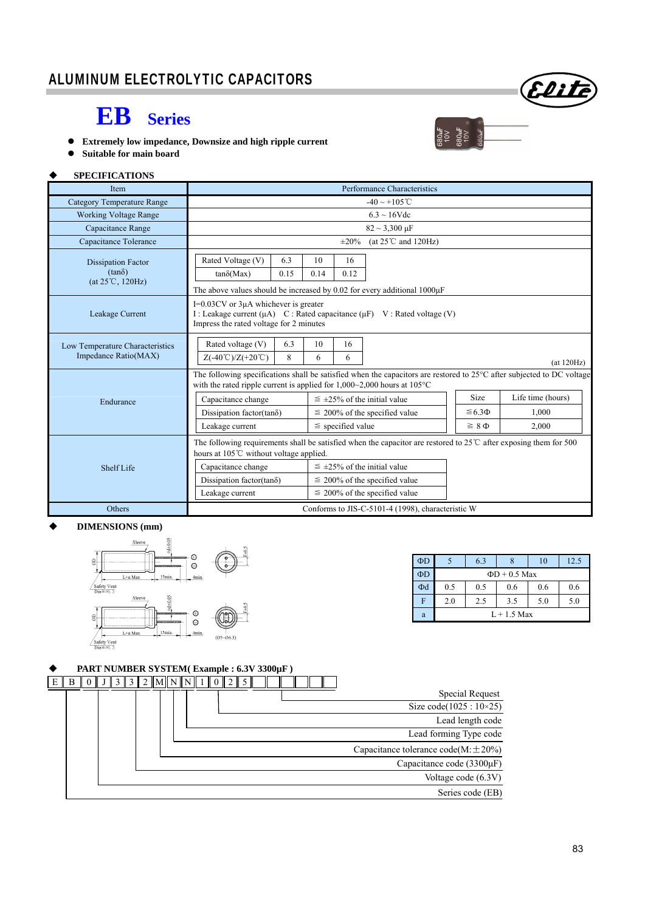## **EB Series**

- **Extremely low impedance, Downsize and high ripple current**
- **Suitable for main board**

#### **SPECIFICATIONS**

| Item                              | Performance Characteristics                                                                                                                                                                                     |      |                                  |                                    |                                    |                   |       |  |  |
|-----------------------------------|-----------------------------------------------------------------------------------------------------------------------------------------------------------------------------------------------------------------|------|----------------------------------|------------------------------------|------------------------------------|-------------------|-------|--|--|
| <b>Category Temperature Range</b> | $-40 \sim +105$ °C                                                                                                                                                                                              |      |                                  |                                    |                                    |                   |       |  |  |
| <b>Working Voltage Range</b>      | $6.3 \sim 16$ Vdc                                                                                                                                                                                               |      |                                  |                                    |                                    |                   |       |  |  |
| Capacitance Range                 |                                                                                                                                                                                                                 |      |                                  |                                    | $82 \sim 3,300 \,\mu F$            |                   |       |  |  |
| Capacitance Tolerance             |                                                                                                                                                                                                                 |      |                                  | $\pm 20\%$                         | (at $25^{\circ}$ C and $120$ Hz)   |                   |       |  |  |
| <b>Dissipation Factor</b>         | Rated Voltage (V)                                                                                                                                                                                               | 6.3  | 10                               | 16                                 |                                    |                   |       |  |  |
| $(tan\delta)$<br>(at 25℃, 120Hz)  | $tan\delta(Max)$                                                                                                                                                                                                | 0.15 | 0.14                             | 0.12                               |                                    |                   |       |  |  |
|                                   | The above values should be increased by 0.02 for every additional $1000\mu$ F                                                                                                                                   |      |                                  |                                    |                                    |                   |       |  |  |
| Leakage Current                   | I=0.03CV or 3µA whichever is greater<br>I : Leakage current $(\mu A)$ C : Rated capacitance $(\mu F)$ V : Rated voltage (V)<br>Impress the rated voltage for 2 minutes                                          |      |                                  |                                    |                                    |                   |       |  |  |
| Low Temperature Characteristics   | Rated voltage (V)                                                                                                                                                                                               | 6.3  | 10                               | 16                                 |                                    |                   |       |  |  |
| Impedance Ratio(MAX)              | $Z(-40^{\circ}\text{C})/Z(+20^{\circ}\text{C})$<br>8<br>6<br>6<br>(at 120Hz)                                                                                                                                    |      |                                  |                                    |                                    |                   |       |  |  |
|                                   | The following specifications shall be satisfied when the capacitors are restored to $25^{\circ}$ C after subjected to DC voltage<br>with the rated ripple current is applied for $1,000~2,000$ hours at $105°C$ |      |                                  |                                    |                                    |                   |       |  |  |
| Endurance                         | Capacitance change                                                                                                                                                                                              |      | $\leq$ ±25% of the initial value |                                    |                                    | Life time (hours) |       |  |  |
|                                   | Dissipation factor(tan $\delta$ )                                                                                                                                                                               |      |                                  | $\leq$ 200% of the specified value |                                    | $\leq 6.3 \Phi$   | 1.000 |  |  |
|                                   | Leakage current<br>$\le$ specified value                                                                                                                                                                        |      |                                  |                                    | $\geq 8 \Phi$                      | 2.000             |       |  |  |
|                                   | The following requirements shall be satisfied when the capacitor are restored to $25^{\circ}$ C after exposing them for 500<br>hours at 105°C without voltage applied.                                          |      |                                  |                                    |                                    |                   |       |  |  |
| Shelf Life                        | Capacitance change                                                                                                                                                                                              |      |                                  | $\leq$ ±25% of the initial value   |                                    |                   |       |  |  |
|                                   | Dissipation factor(tan $\delta$ )                                                                                                                                                                               |      |                                  | $\leq$ 200% of the specified value |                                    |                   |       |  |  |
|                                   | Leakage current                                                                                                                                                                                                 |      |                                  |                                    | $\leq$ 200% of the specified value |                   |       |  |  |
| Others                            | Conforms to JIS-C-5101-4 (1998), characteristic W                                                                                                                                                               |      |                                  |                                    |                                    |                   |       |  |  |

#### **DIMENSIONS (mm)**



| ΦD |                    | 6.3 | ŏ   | 10  | 12.5 |  |  |  |
|----|--------------------|-----|-----|-----|------|--|--|--|
| ΦD | $\Phi$ D + 0.5 Max |     |     |     |      |  |  |  |
| Φd | 0.5                | 0.5 | 0.6 | 0.6 | 0.6  |  |  |  |
| F  | 2.0                | 2.5 | 3.5 | 5.0 | 5.0  |  |  |  |
| a  | $L+1.5$ Max        |     |     |     |      |  |  |  |

Elite

 $380$ uF<br>10V<br>10V<br>10V<br>280uF

### **PART NUMBER SYSTEM( Example : 6.3V 3300µF )**

| B<br>E |  | $\ 0\  J\  3\  3\  2\  M\  N\  N\  1\  0\  2\  5\ $ |                                            |
|--------|--|-----------------------------------------------------|--------------------------------------------|
|        |  |                                                     | Special Request                            |
|        |  |                                                     | Size code( $1025 : 10 \times 25$ )         |
|        |  |                                                     | Lead length code                           |
|        |  |                                                     | Lead forming Type code                     |
|        |  |                                                     | Capacitance tolerance code( $M \pm 20\%$ ) |
|        |  |                                                     | Capacitance code (3300µF)                  |
|        |  |                                                     | Voltage code (6.3V)                        |
|        |  |                                                     | Series code (EB)                           |